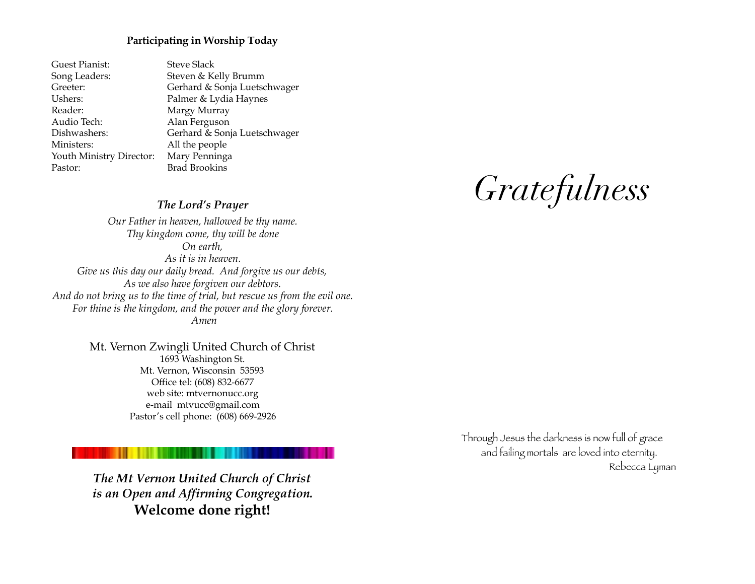#### **Participating in Worship Today**

| <b>Guest Pianist:</b>    | <b>Steve Slack</b>           |
|--------------------------|------------------------------|
| Song Leaders:            | Steven & Kelly Brumm         |
| Greeter:                 | Gerhard & Sonja Luetschwager |
| Ushers:                  | Palmer & Lydia Haynes        |
| Reader:                  | Margy Murray                 |
| Audio Tech:              | Alan Ferguson                |
| Dishwashers:             | Gerhard & Sonja Luetschwager |
| Ministers:               | All the people               |
| Youth Ministry Director: | Mary Penninga                |
| Pastor:                  | <b>Brad Brookins</b>         |
|                          |                              |

*Gratefulness* 

#### *The Lord's Prayer*

*Our Father in heaven, hallowed be thy name. Thy kingdom come, thy will be done On earth, As it is in heaven. Give us this day our daily bread. And forgive us our debts, As we also have forgiven our debtors. And do not bring us to the time of trial, but rescue us from the evil one. For thine is the kingdom, and the power and the glory forever. Amen*

> Mt. Vernon Zwingli United Church of Christ 1693 Washington St. Mt. Vernon, Wisconsin 53593 Office tel: (608) 832-6677 web site: mtvernonucc.org e-mail [mtvucc@gmail.com](mailto:mtvucc@gmail.com) Pastor's cell phone: (608) 669-2926

*The Mt Vernon United Church of Christ is an Open and Affirming Congregation.*  **Welcome done right!** 

Through Jesus the darkness is now full of grace and failing mortals are loved into eternity. Rebecca Lyman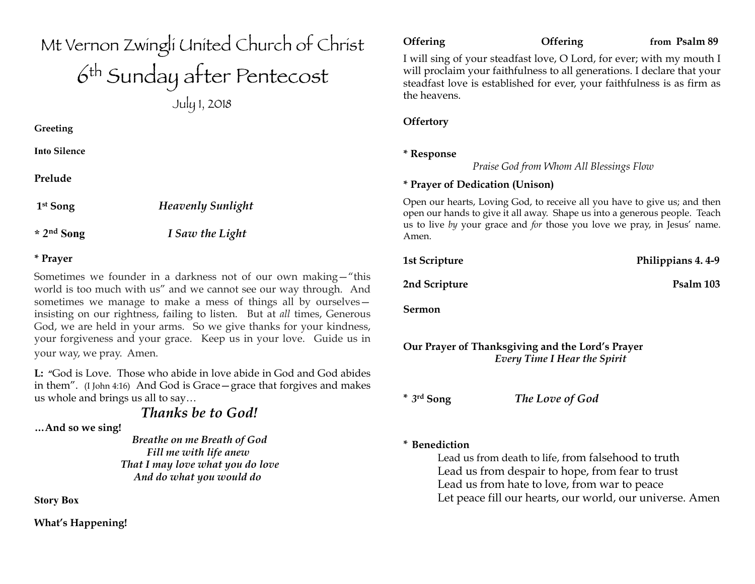Mt Vernon Zwingli United Church of Christ 6th Sunday after Pentecost July 1, 2018

**Greeting** 

**Into Silence** 

**Prelude** 

 **1st Song** *Heavenly Sunlight*

**\*** *2***nd Song** *I Saw the Light*

#### **\* Prayer**

Sometimes we founder in a darkness not of our own making—"this world is too much with us" and we cannot see our way through. And sometimes we manage to make a mess of things all by ourselves insisting on our rightness, failing to listen. But at *all* times, Generous God, we are held in your arms. So we give thanks for your kindness, your forgiveness and your grace. Keep us in your love. Guide us in your way, we pray. Amen.

**L: "**God is Love. Those who abide in love abide in God and God abides in them". (I John 4:16) And God is Grace—grace that forgives and makes us whole and brings us all to say…

## *Thanks be to God!*

**…And so we sing!** 

*Breathe on me Breath of God Fill me with life anew That I may love what you do love And do what you would do*

**Story Box** 

**What's Happening!**

Offering **Offering** from Psalm 89

I will sing of your steadfast love, O Lord, for ever; with my mouth I will proclaim your faithfulness to all generations. I declare that your steadfast love is established for ever, your faithfulness is as firm as the heavens.

#### **Offertory**

#### **\* Response**

 *Praise God from Whom All Blessings Flow*

### **\* Prayer of Dedication (Unison)**

Open our hearts, Loving God, to receive all you have to give us; and then open our hands to give it all away. Shape us into a generous people. Teach us to live *by* your grace and *for* those you love we pray, in Jesus' name. Amen.

| 1st Scripture | Philippians 4.4-9                                                                                                                                                                                                   |  |
|---------------|---------------------------------------------------------------------------------------------------------------------------------------------------------------------------------------------------------------------|--|
| 2nd Scripture | Psalm 103                                                                                                                                                                                                           |  |
| Sermon        |                                                                                                                                                                                                                     |  |
|               | Our Prayer of Thanksgiving and the Lord's Prayer<br><b>Every Time I Hear the Spirit</b>                                                                                                                             |  |
| * 3rd Song    | The Love of God                                                                                                                                                                                                     |  |
| * Benediction | Lead us from death to life, from falsehood to truth<br>Lead us from despair to hope, from fear to trust<br>Lead us from hate to love, from war to peace<br>Let peace fill our hearts, our world, our universe. Amen |  |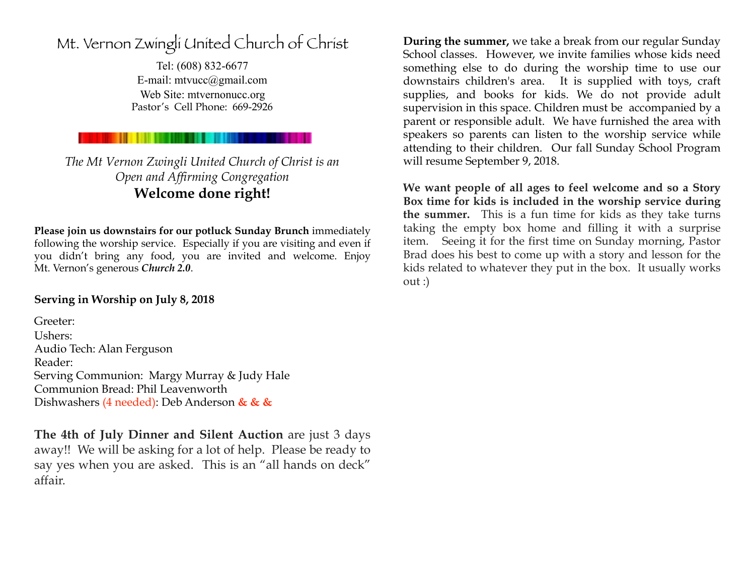# Mt. Vernon Zwingli United Church of Christ

Tel: (608) 832-6677 E-mail: [mtvucc@gmail.com](mailto:mtvucc@gmail.com)  Web Site: [mtvernonucc.org](http://mtvernonucc.org) Pastor's Cell Phone: 669-2926

# *The Mt Vernon Zwingli United Church of Christ is an Open and Affirming Congregation*  **Welcome done right!**

**Please join us downstairs for our potluck Sunday Brunch** immediately following the worship service. Especially if you are visiting and even if you didn't bring any food, you are invited and welcome. Enjoy Mt. Vernon's generous *Church 2.0*.

## **Serving in Worship on July 8, 2018**

Greeter: Ushers: Audio Tech: Alan Ferguson Reader: Serving Communion: Margy Murray & Judy Hale Communion Bread: Phil Leavenworth Dishwashers (4 needed): Deb Anderson **& & &** 

**The 4th of July Dinner and Silent Auction** are just 3 days away!! We will be asking for a lot of help. Please be ready to say yes when you are asked. This is an "all hands on deck" affair.

**During the summer,** we take a break from our regular Sunday School classes. However, we invite families whose kids need something else to do during the worship time to use our downstairs children's area. It is supplied with toys, craft supplies, and books for kids. We do not provide adult supervision in this space. Children must be accompanied by a parent or responsible adult. We have furnished the area with speakers so parents can listen to the worship service while attending to their children. Our fall Sunday School Program will resume September 9, 2018.

**We want people of all ages to feel welcome and so a Story Box time for kids is included in the worship service during the summer.** This is a fun time for kids as they take turns taking the empty box home and filling it with a surprise item. Seeing it for the first time on Sunday morning, Pastor Brad does his best to come up with a story and lesson for the kids related to whatever they put in the box. It usually works out :)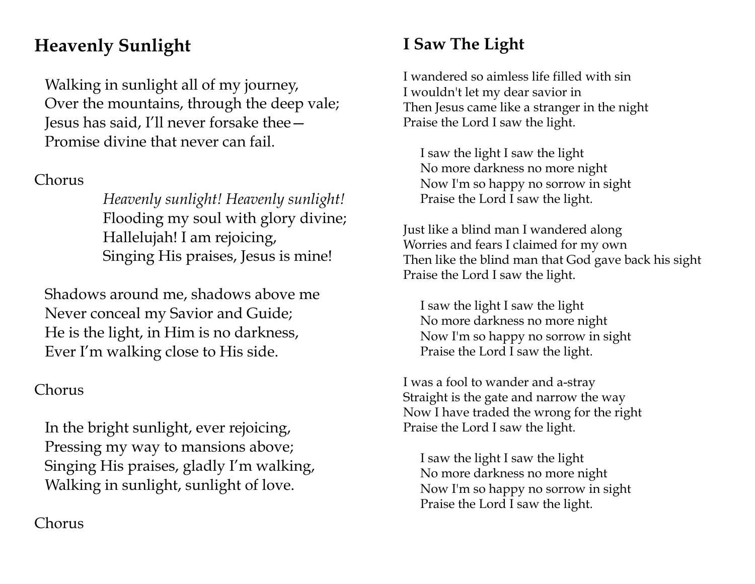# **Heavenly Sunlight**

 Walking in sunlight all of my journey, Over the mountains, through the deep vale; Jesus has said, I'll never forsake thee— Promise divine that never can fail.

# Chorus

 *Heavenly sunlight! Heavenly sunlight!*  Flooding my soul with glory divine; Hallelujah! I am rejoicing, Singing His praises, Jesus is mine!

 Shadows around me, shadows above me Never conceal my Savior and Guide; He is the light, in Him is no darkness, Ever I'm walking close to His side.

# Chorus

 In the bright sunlight, ever rejoicing, Pressing my way to mansions above; Singing His praises, gladly I'm walking, Walking in sunlight, sunlight of love.

# Chorus

# **I Saw The Light**

I wandered so aimless life filled with sin I wouldn't let my dear savior in Then Jesus came like a stranger in the night Praise the Lord I saw the light.

I saw the light I saw the light No more darkness no more night Now I'm so happy no sorrow in sight Praise the Lord I saw the light.

Just like a blind man I wandered along Worries and fears I claimed for my own Then like the blind man that God gave back his sight Praise the Lord I saw the light.

I saw the light I saw the light No more darkness no more night Now I'm so happy no sorrow in sight Praise the Lord I saw the light.

I was a fool to wander and a-stray Straight is the gate and narrow the way Now I have traded the wrong for the right Praise the Lord I saw the light.

I saw the light I saw the light No more darkness no more night Now I'm so happy no sorrow in sight Praise the Lord I saw the light.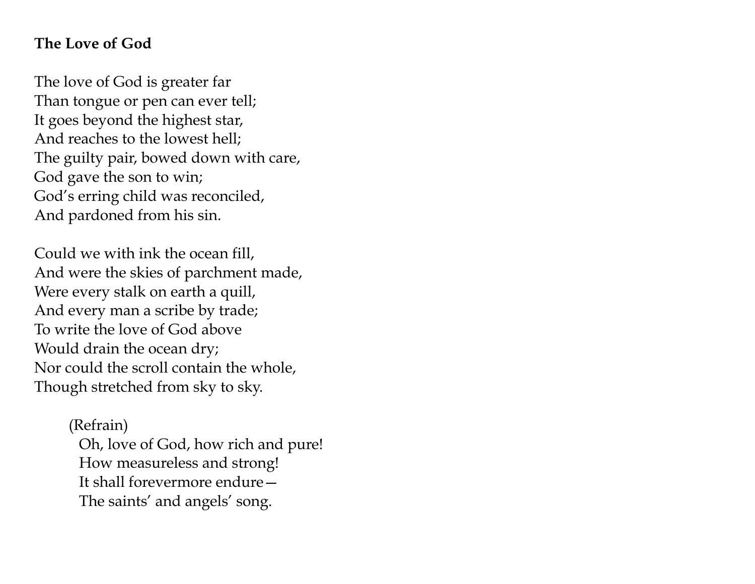# **The Love of God**

The love of God is greater far Than tongue or pen can ever tell; It goes beyond the highest star, And reaches to the lowest hell; The guilty pair, bowed down with care, God gave the son to win; God's erring child was reconciled, And pardoned from his sin.

Could we with ink the ocean fill, And were the skies of parchment made, Were every stalk on earth a quill, And every man a scribe by trade; To write the love of God above Would drain the ocean dry; Nor could the scroll contain the whole, Though stretched from sky to sky.

> (Refrain) Oh, love of God, how rich and pure! How measureless and strong! It shall forevermore endure— The saints' and angels' song.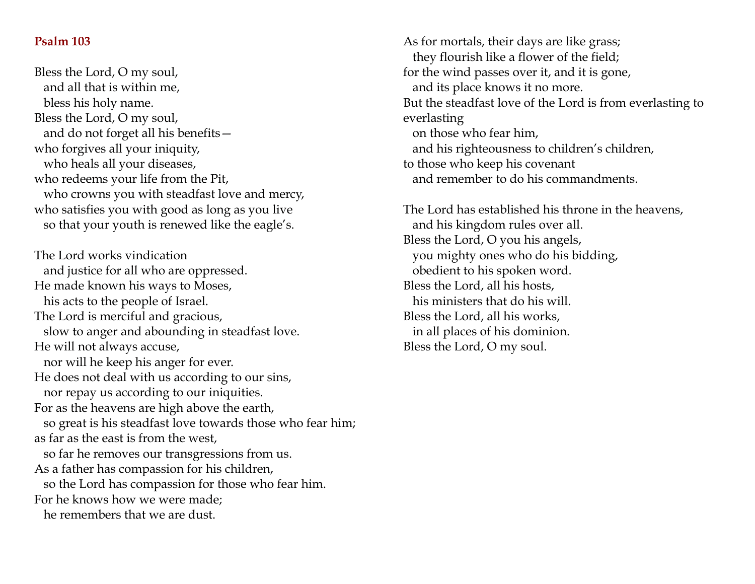## **Psalm 103**

Bless the Lord, O my soul, and all that is within me, bless his holy name. Bless the Lord, O my soul, and do not forget all his benefits who forgives all your iniquity, who heals all your diseases, who redeems your life from the Pit, who crowns you with steadfast love and mercy, who satisfies you with good as long as you live so that your youth is renewed like the eagle's.

The Lord works vindication and justice for all who are oppressed. He made known his ways to Moses, his acts to the people of Israel. The Lord is merciful and gracious, slow to anger and abounding in steadfast love. He will not always accuse, nor will he keep his anger for ever. He does not deal with us according to our sins, nor repay us according to our iniquities. For as the heavens are high above the earth, so great is his steadfast love towards those who fear him; as far as the east is from the west, so far he removes our transgressions from us. As a father has compassion for his children, so the Lord has compassion for those who fear him.

For he knows how we were made;

he remembers that we are dust.

As for mortals, their days are like grass; they flourish like a flower of the field; for the wind passes over it, and it is gone, and its place knows it no more. But the steadfast love of the Lord is from everlasting to everlasting on those who fear him, and his righteousness to children's children, to those who keep his covenant and remember to do his commandments.

The Lord has established his throne in the heavens, and his kingdom rules over all. Bless the Lord, O you his angels, you mighty ones who do his bidding, obedient to his spoken word. Bless the Lord, all his hosts, his ministers that do his will. Bless the Lord, all his works, in all places of his dominion. Bless the Lord, O my soul.